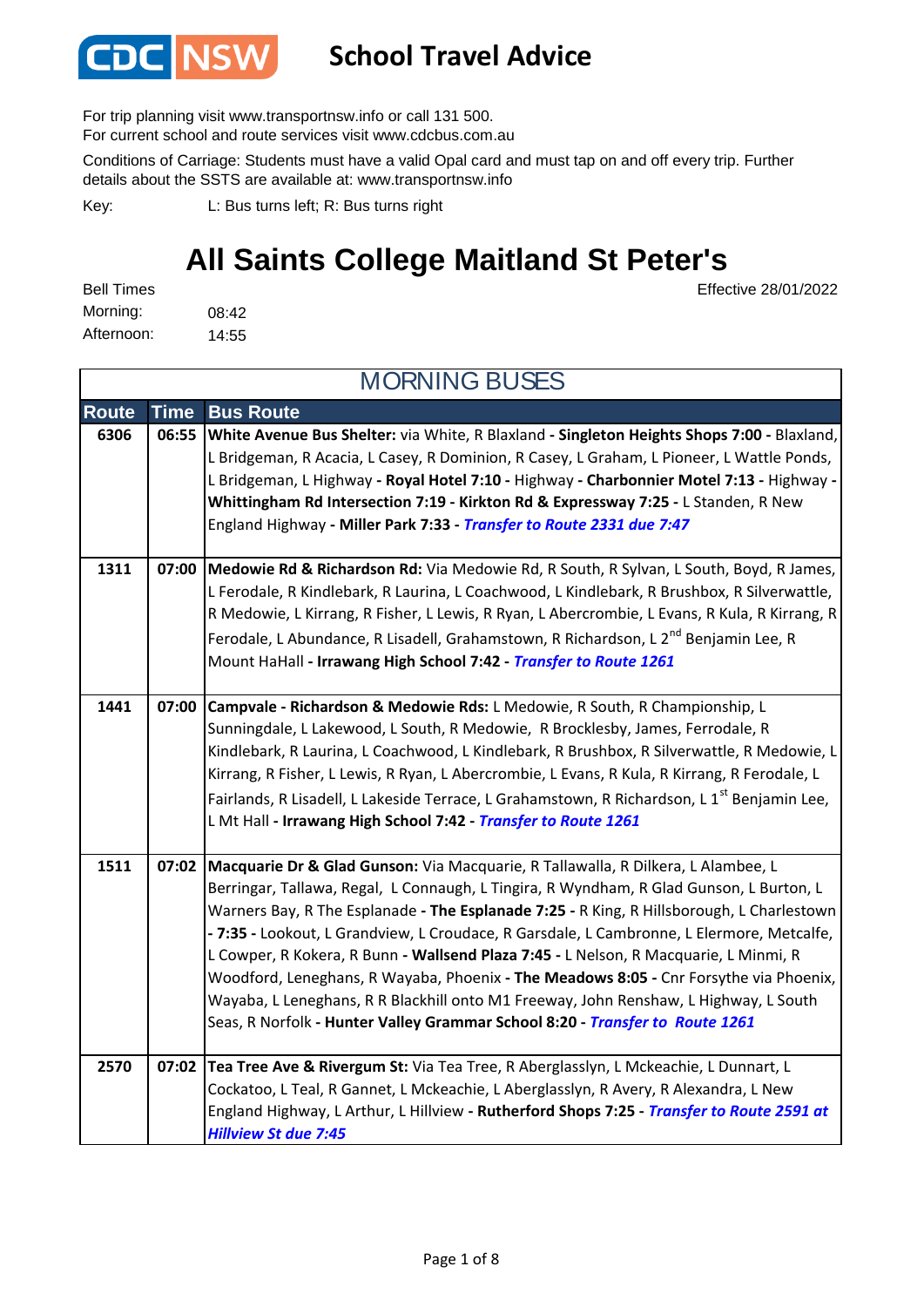

#### **School Travel Advice**

For trip planning visit www.transportnsw.info or call 131 500.

For current school and route services visit www.cdcbus.com.au

Conditions of Carriage: Students must have a valid Opal card and must tap on and off every trip. Further details about the SSTS are available at: www.transportnsw.info

L: Bus turns left; R: Bus turns right Key:

### **All Saints College Maitland St Peter's**

Effective 28/01/2022

08:42 14:55 Afternoon: Bell Times Morning:

**Route Time Bus Route 6306 06:55 White Avenue Bus Shelter:** via White, R Blaxland **- Singleton Heights Shops 7:00 -** Blaxland, L Bridgeman, R Acacia, L Casey, R Dominion, R Casey, L Graham, L Pioneer, L Wattle Ponds, L Bridgeman, L Highway **- Royal Hotel 7:10 -** Highway **- Charbonnier Motel 7:13 -** Highway **- Whittingham Rd Intersection 7:19 - Kirkton Rd & Expressway 7:25 -** L Standen, R New England Highway **- Miller Park 7:33 -** *Transfer to Route 2331 due 7:47* **1311 07:00 Medowie Rd & Richardson Rd:** Via Medowie Rd, R South, R Sylvan, L South, Boyd, R James, L Ferodale, R Kindlebark, R Laurina, L Coachwood, L Kindlebark, R Brushbox, R Silverwattle, R Medowie, L Kirrang, R Fisher, L Lewis, R Ryan, L Abercrombie, L Evans, R Kula, R Kirrang, R Ferodale, L Abundance, R Lisadell, Grahamstown, R Richardson, L 2<sup>nd</sup> Benjamin Lee. R Mount HaHall **- Irrawang High School 7:42 -** *Transfer to Route 1261* **1441 07:00 Campvale - Richardson & Medowie Rds:** L Medowie, R South, R Championship, L Sunningdale, L Lakewood, L South, R Medowie, R Brocklesby, James, Ferrodale, R Kindlebark, R Laurina, L Coachwood, L Kindlebark, R Brushbox, R Silverwattle, R Medowie, L Kirrang, R Fisher, L Lewis, R Ryan, L Abercrombie, L Evans, R Kula, R Kirrang, R Ferodale, L Fairlands, R Lisadell, L Lakeside Terrace, L Grahamstown, R Richardson, L 1<sup>st</sup> Benjamin Lee, L Mt Hall **- Irrawang High School 7:42 -** *Transfer to Route 1261* **1511 07:02 Macquarie Dr & Glad Gunson:** Via Macquarie, R Tallawalla, R Dilkera, L Alambee, L Berringar, Tallawa, Regal, L Connaugh, L Tingira, R Wyndham, R Glad Gunson, L Burton, L Warners Bay, R The Esplanade **- The Esplanade 7:25 -** R King, R Hillsborough, L Charlestown **- 7:35 -** Lookout, L Grandview, L Croudace, R Garsdale, L Cambronne, L Elermore, Metcalfe, L Cowper, R Kokera, R Bunn **- Wallsend Plaza 7:45 -** L Nelson, R Macquarie, L Minmi, R Woodford, Leneghans, R Wayaba, Phoenix **- The Meadows 8:05 -** Cnr Forsythe via Phoenix, Wayaba, L Leneghans, R R Blackhill onto M1 Freeway, John Renshaw, L Highway, L South Seas, R Norfolk **- Hunter Valley Grammar School 8:20 -** *Transfer to Route 1261*  **2570 07:02 Tea Tree Ave & Rivergum St:** Via Tea Tree, R Aberglasslyn, L Mckeachie, L Dunnart, L Cockatoo, L Teal, R Gannet, L Mckeachie, L Aberglasslyn, R Avery, R Alexandra, L New England Highway, L Arthur, L Hillview **- Rutherford Shops 7:25 -** *Transfer to Route 2591 at Hillview St due 7:45* MORNING BUSES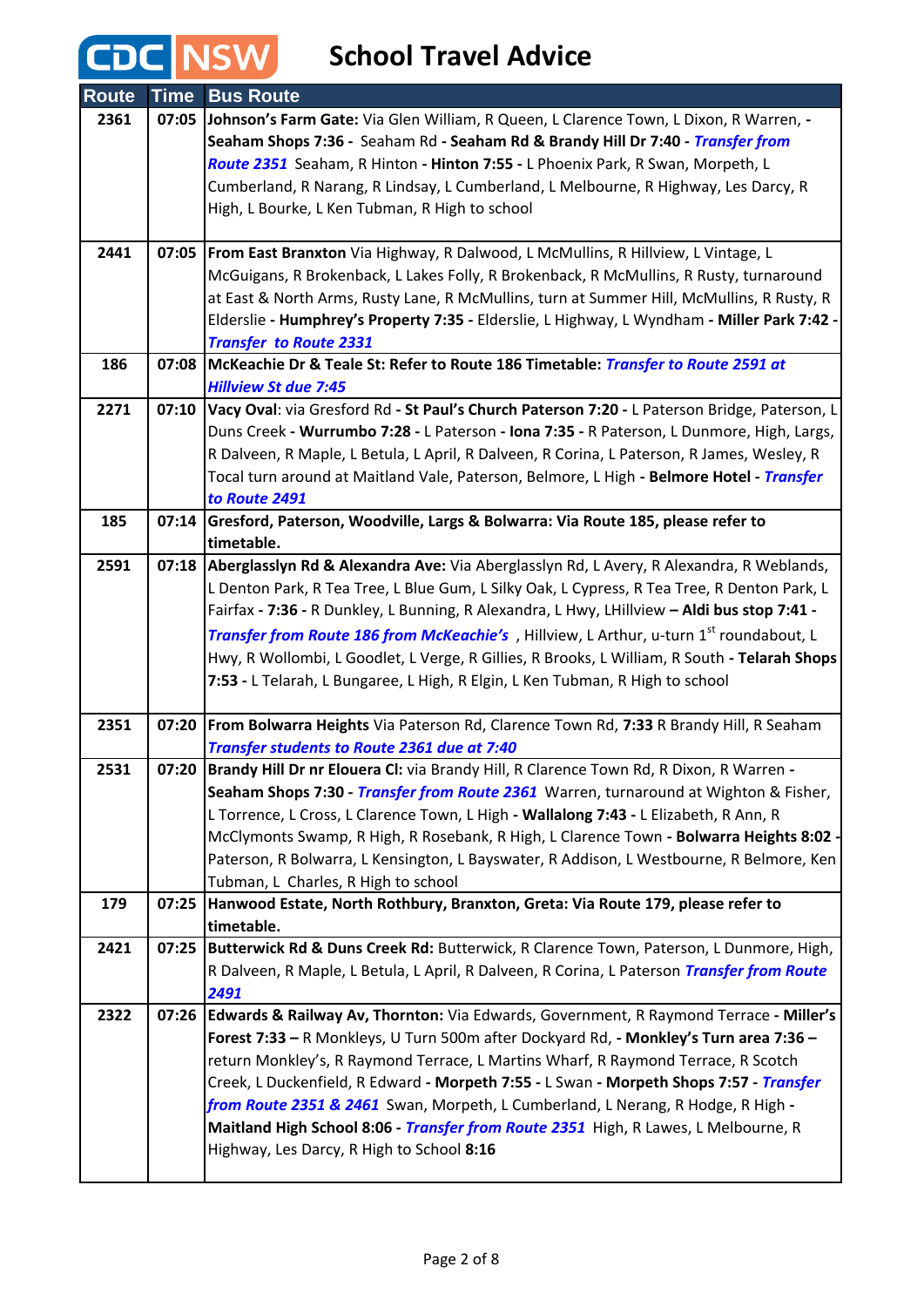| <b>Route</b> | <b>Time</b> | <b>Bus Route</b>                                                                                                                                                                     |
|--------------|-------------|--------------------------------------------------------------------------------------------------------------------------------------------------------------------------------------|
| 2361         | 07:05       | Johnson's Farm Gate: Via Glen William, R Queen, L Clarence Town, L Dixon, R Warren, -                                                                                                |
|              |             | Seaham Shops 7:36 - Seaham Rd - Seaham Rd & Brandy Hill Dr 7:40 - Transfer from                                                                                                      |
|              |             | Route 2351 Seaham, R Hinton - Hinton 7:55 - L Phoenix Park, R Swan, Morpeth, L                                                                                                       |
|              |             | Cumberland, R Narang, R Lindsay, L Cumberland, L Melbourne, R Highway, Les Darcy, R                                                                                                  |
|              |             | High, L Bourke, L Ken Tubman, R High to school                                                                                                                                       |
|              |             |                                                                                                                                                                                      |
| 2441         |             | 07:05   From East Branxton Via Highway, R Dalwood, L McMullins, R Hillview, L Vintage, L                                                                                             |
|              |             | McGuigans, R Brokenback, L Lakes Folly, R Brokenback, R McMullins, R Rusty, turnaround                                                                                               |
|              |             | at East & North Arms, Rusty Lane, R McMullins, turn at Summer Hill, McMullins, R Rusty, R                                                                                            |
|              |             | Elderslie - Humphrey's Property 7:35 - Elderslie, L Highway, L Wyndham - Miller Park 7:42 -                                                                                          |
|              |             | <b>Transfer to Route 2331</b>                                                                                                                                                        |
| 186          |             | 07:08 McKeachie Dr & Teale St: Refer to Route 186 Timetable: Transfer to Route 2591 at                                                                                               |
|              |             | <b>Hillview St due 7:45</b>                                                                                                                                                          |
| 2271         | 07:10       | Vacy Oval: via Gresford Rd - St Paul's Church Paterson 7:20 - L Paterson Bridge, Paterson, L                                                                                         |
|              |             | Duns Creek - Wurrumbo 7:28 - L Paterson - Iona 7:35 - R Paterson, L Dunmore, High, Largs,                                                                                            |
|              |             | R Dalveen, R Maple, L Betula, L April, R Dalveen, R Corina, L Paterson, R James, Wesley, R                                                                                           |
|              |             | Tocal turn around at Maitland Vale, Paterson, Belmore, L High - <b>Belmore Hotel</b> - Transfer                                                                                      |
|              |             | to Route 2491                                                                                                                                                                        |
| 185          | 07:14       | Gresford, Paterson, Woodville, Largs & Bolwarra: Via Route 185, please refer to                                                                                                      |
|              |             | timetable.                                                                                                                                                                           |
| 2591         | 07:18       | Aberglasslyn Rd & Alexandra Ave: Via Aberglasslyn Rd, L Avery, R Alexandra, R Weblands,                                                                                              |
|              |             | L Denton Park, R Tea Tree, L Blue Gum, L Silky Oak, L Cypress, R Tea Tree, R Denton Park, L                                                                                          |
|              |             | Fairfax - 7:36 - R Dunkley, L Bunning, R Alexandra, L Hwy, LHillview - Aldi bus stop 7:41 -                                                                                          |
|              |             | Transfer from Route 186 from McKeachie's, Hillview, L Arthur, u-turn 1 <sup>st</sup> roundabout, L                                                                                   |
|              |             | Hwy, R Wollombi, L Goodlet, L Verge, R Gillies, R Brooks, L William, R South - Telarah Shops                                                                                         |
|              |             | 7:53 - L Telarah, L Bungaree, L High, R Elgin, L Ken Tubman, R High to school                                                                                                        |
|              |             |                                                                                                                                                                                      |
| 2351         |             | 07:20 From Bolwarra Heights Via Paterson Rd, Clarence Town Rd, 7:33 R Brandy Hill, R Seaham                                                                                          |
|              |             | Transfer students to Route 2361 due at 7:40                                                                                                                                          |
| 2531         |             | 07:20 Brandy Hill Dr nr Elouera CI: via Brandy Hill, R Clarence Town Rd, R Dixon, R Warren -<br>Seaham Shops 7:30 - Transfer from Route 2361 Warren, turnaround at Wighton & Fisher, |
|              |             | L Torrence, L Cross, L Clarence Town, L High - Wallalong 7:43 - L Elizabeth, R Ann, R                                                                                                |
|              |             | McClymonts Swamp, R High, R Rosebank, R High, L Clarence Town - Bolwarra Heights 8:02 -                                                                                              |
|              |             | Paterson, R Bolwarra, L Kensington, L Bayswater, R Addison, L Westbourne, R Belmore, Ken                                                                                             |
|              |             | Tubman, L Charles, R High to school                                                                                                                                                  |
| 179          | 07:25       | Hanwood Estate, North Rothbury, Branxton, Greta: Via Route 179, please refer to                                                                                                      |
|              |             | timetable.                                                                                                                                                                           |
| 2421         | 07:25       | Butterwick Rd & Duns Creek Rd: Butterwick, R Clarence Town, Paterson, L Dunmore, High,                                                                                               |
|              |             | R Dalveen, R Maple, L Betula, L April, R Dalveen, R Corina, L Paterson Transfer from Route                                                                                           |
|              |             | 2491                                                                                                                                                                                 |
| 2322         | 07:26       | Edwards & Railway Av, Thornton: Via Edwards, Government, R Raymond Terrace - Miller's                                                                                                |
|              |             | Forest 7:33 - R Monkleys, U Turn 500m after Dockyard Rd, - Monkley's Turn area 7:36 -                                                                                                |
|              |             | return Monkley's, R Raymond Terrace, L Martins Wharf, R Raymond Terrace, R Scotch                                                                                                    |
|              |             | Creek, L Duckenfield, R Edward - Morpeth 7:55 - L Swan - Morpeth Shops 7:57 - Transfer                                                                                               |
|              |             | from Route 2351 & 2461 Swan, Morpeth, L Cumberland, L Nerang, R Hodge, R High -                                                                                                      |
|              |             | Maitland High School 8:06 - Transfer from Route 2351 High, R Lawes, L Melbourne, R                                                                                                   |
|              |             | Highway, Les Darcy, R High to School 8:16                                                                                                                                            |
|              |             |                                                                                                                                                                                      |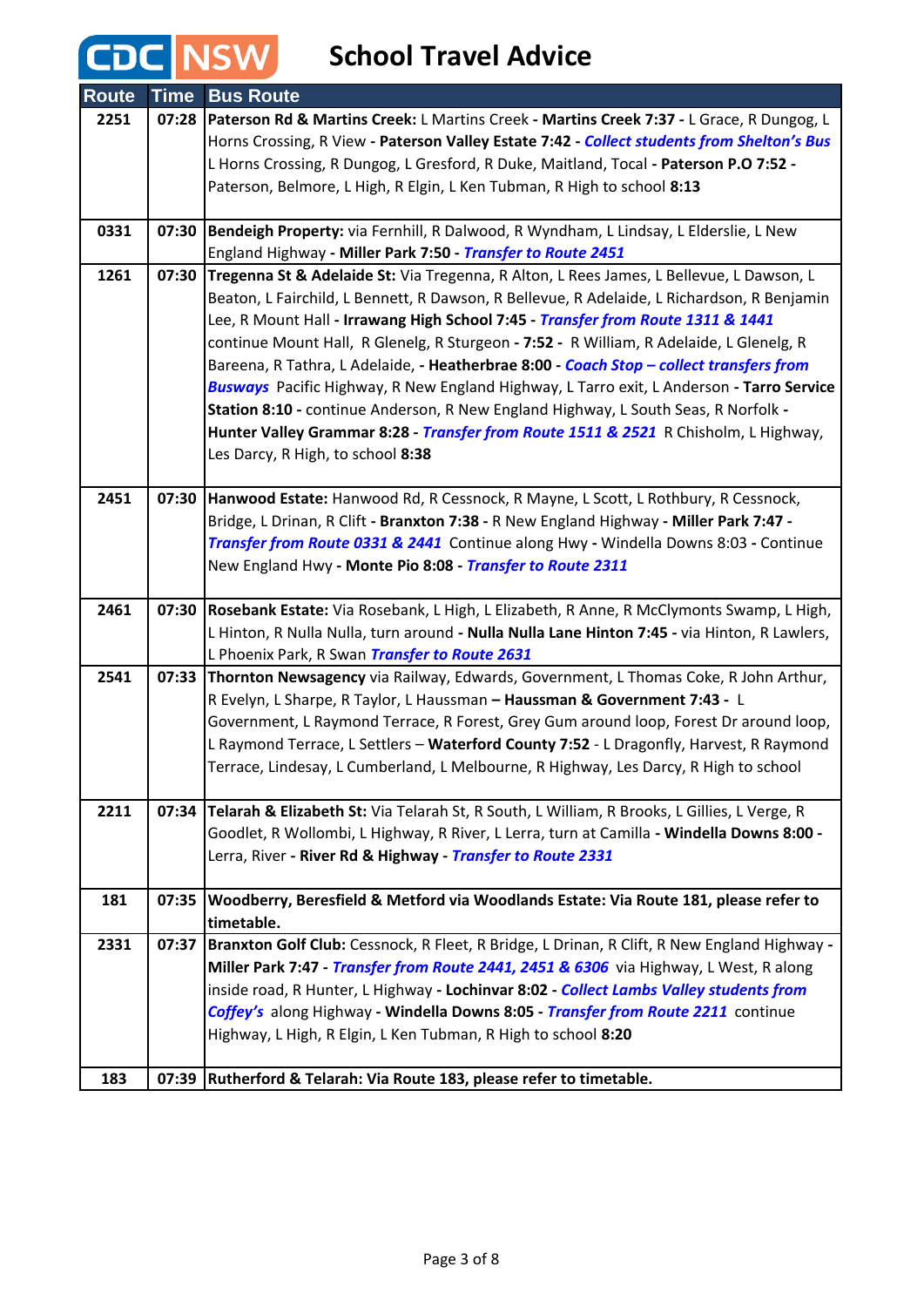| <b>Route</b> | <b>Time</b> | <b>Bus Route</b>                                                                                                                                                                 |
|--------------|-------------|----------------------------------------------------------------------------------------------------------------------------------------------------------------------------------|
| 2251         | 07:28       | Paterson Rd & Martins Creek: L Martins Creek - Martins Creek 7:37 - L Grace, R Dungog, L                                                                                         |
|              |             | Horns Crossing, R View - Paterson Valley Estate 7:42 - Collect students from Shelton's Bus                                                                                       |
|              |             | L Horns Crossing, R Dungog, L Gresford, R Duke, Maitland, Tocal - Paterson P.O 7:52 -                                                                                            |
|              |             | Paterson, Belmore, L High, R Elgin, L Ken Tubman, R High to school 8:13                                                                                                          |
| 0331         | 07:30       | Bendeigh Property: via Fernhill, R Dalwood, R Wyndham, L Lindsay, L Elderslie, L New                                                                                             |
|              |             | England Highway - Miller Park 7:50 - Transfer to Route 2451                                                                                                                      |
| 1261         | 07:30       | Tregenna St & Adelaide St: Via Tregenna, R Alton, L Rees James, L Bellevue, L Dawson, L                                                                                          |
|              |             | Beaton, L Fairchild, L Bennett, R Dawson, R Bellevue, R Adelaide, L Richardson, R Benjamin                                                                                       |
|              |             | Lee, R Mount Hall - Irrawang High School 7:45 - Transfer from Route 1311 & 1441<br>continue Mount Hall, R Glenelg, R Sturgeon - 7:52 - R William, R Adelaide, L Glenelg, R       |
|              |             | Bareena, R Tathra, L Adelaide, - Heatherbrae 8:00 - Coach Stop - collect transfers from                                                                                          |
|              |             | Busways Pacific Highway, R New England Highway, L Tarro exit, L Anderson - Tarro Service                                                                                         |
|              |             | Station 8:10 - continue Anderson, R New England Highway, L South Seas, R Norfolk -                                                                                               |
|              |             | Hunter Valley Grammar 8:28 - Transfer from Route 1511 & 2521 R Chisholm, L Highway,                                                                                              |
|              |             | Les Darcy, R High, to school 8:38                                                                                                                                                |
|              |             |                                                                                                                                                                                  |
| 2451         | 07:30       | Hanwood Estate: Hanwood Rd, R Cessnock, R Mayne, L Scott, L Rothbury, R Cessnock,                                                                                                |
|              |             | Bridge, L Drinan, R Clift - Branxton 7:38 - R New England Highway - Miller Park 7:47 -                                                                                           |
|              |             | Transfer from Route 0331 & 2441 Continue along Hwy - Windella Downs 8:03 - Continue                                                                                              |
|              |             | New England Hwy - Monte Pio 8:08 - Transfer to Route 2311                                                                                                                        |
| 2461         | 07:30       | Rosebank Estate: Via Rosebank, L High, L Elizabeth, R Anne, R McClymonts Swamp, L High,                                                                                          |
|              |             | L Hinton, R Nulla Nulla, turn around - Nulla Nulla Lane Hinton 7:45 - via Hinton, R Lawlers,                                                                                     |
|              |             | L Phoenix Park, R Swan Transfer to Route 2631                                                                                                                                    |
| 2541         |             | 07:33 Thornton Newsagency via Railway, Edwards, Government, L Thomas Coke, R John Arthur,                                                                                        |
|              |             | R Evelyn, L Sharpe, R Taylor, L Haussman - Haussman & Government 7:43 - L                                                                                                        |
|              |             | Government, L Raymond Terrace, R Forest, Grey Gum around loop, Forest Dr around loop,<br>L Raymond Terrace, L Settlers - Waterford County 7:52 - L Dragonfly, Harvest, R Raymond |
|              |             | Terrace, Lindesay, L Cumberland, L Melbourne, R Highway, Les Darcy, R High to school                                                                                             |
|              |             |                                                                                                                                                                                  |
| 2211         | 07:34       | Telarah & Elizabeth St: Via Telarah St, R South, L William, R Brooks, L Gillies, L Verge, R                                                                                      |
|              |             | Goodlet, R Wollombi, L Highway, R River, L Lerra, turn at Camilla - Windella Downs 8:00 -                                                                                        |
|              |             | Lerra, River - River Rd & Highway - Transfer to Route 2331                                                                                                                       |
| 181          | 07:35       | Woodberry, Beresfield & Metford via Woodlands Estate: Via Route 181, please refer to                                                                                             |
|              |             | timetable.                                                                                                                                                                       |
| 2331         | 07:37       | Branxton Golf Club: Cessnock, R Fleet, R Bridge, L Drinan, R Clift, R New England Highway -                                                                                      |
|              |             | Miller Park 7:47 - Transfer from Route 2441, 2451 & 6306 via Highway, L West, R along                                                                                            |
|              |             | inside road, R Hunter, L Highway - Lochinvar 8:02 - Collect Lambs Valley students from                                                                                           |
|              |             | Coffey's along Highway - Windella Downs 8:05 - Transfer from Route 2211 continue                                                                                                 |
|              |             | Highway, L High, R Elgin, L Ken Tubman, R High to school 8:20                                                                                                                    |
| 183          | 07:39       | Rutherford & Telarah: Via Route 183, please refer to timetable.                                                                                                                  |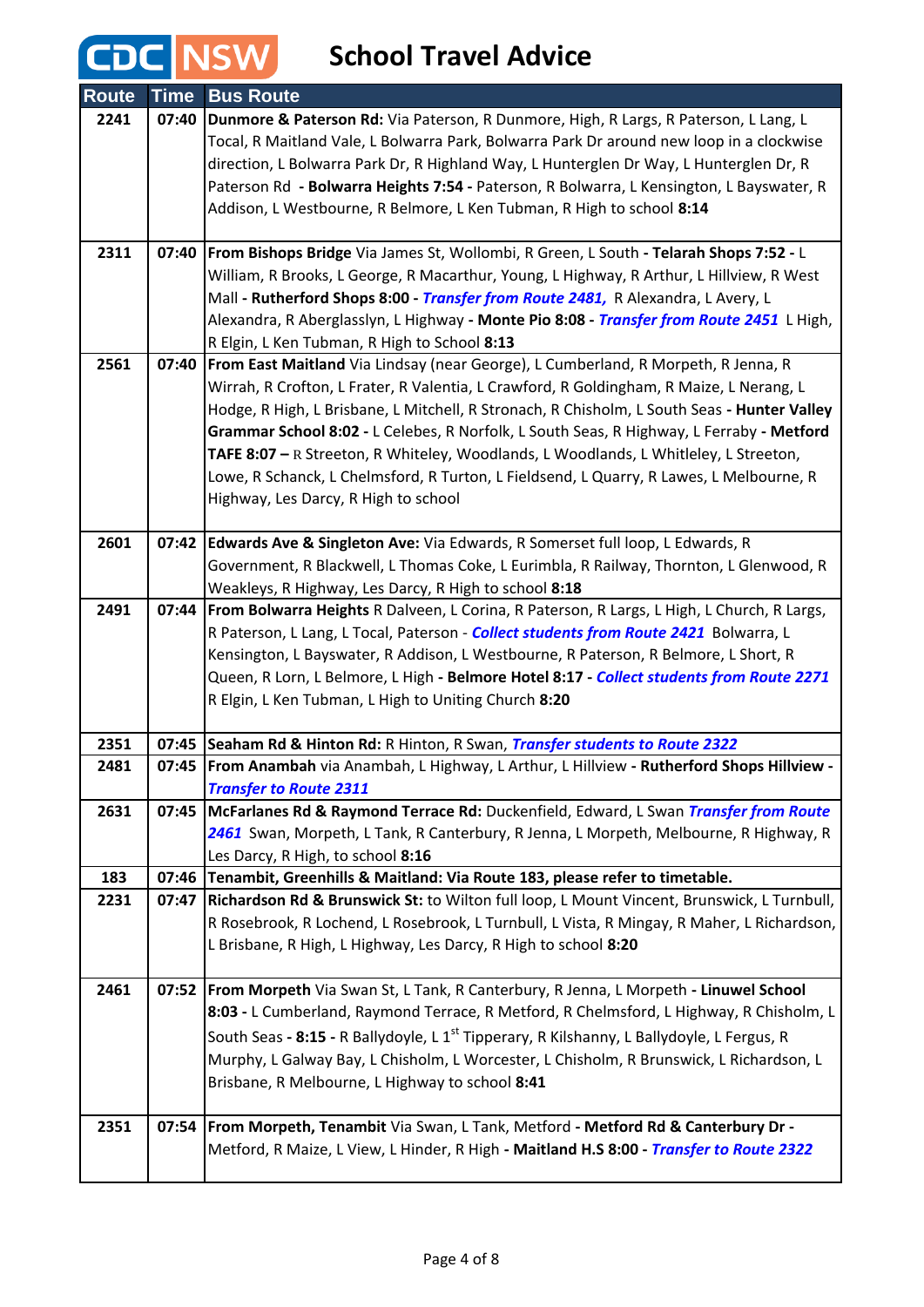| <b>Route</b> | <b>Time</b> | <b>Bus Route</b>                                                                                                                                                                        |
|--------------|-------------|-----------------------------------------------------------------------------------------------------------------------------------------------------------------------------------------|
| 2241         |             | 07:40   Dunmore & Paterson Rd: Via Paterson, R Dunmore, High, R Largs, R Paterson, L Lang, L                                                                                            |
|              |             | Tocal, R Maitland Vale, L Bolwarra Park, Bolwarra Park Dr around new loop in a clockwise                                                                                                |
|              |             | direction, L Bolwarra Park Dr, R Highland Way, L Hunterglen Dr Way, L Hunterglen Dr, R                                                                                                  |
|              |             | Paterson Rd - Bolwarra Heights 7:54 - Paterson, R Bolwarra, L Kensington, L Bayswater, R                                                                                                |
|              |             | Addison, L Westbourne, R Belmore, L Ken Tubman, R High to school 8:14                                                                                                                   |
|              |             |                                                                                                                                                                                         |
| 2311         |             | 07:40   From Bishops Bridge Via James St, Wollombi, R Green, L South - Telarah Shops 7:52 - L                                                                                           |
|              |             | William, R Brooks, L George, R Macarthur, Young, L Highway, R Arthur, L Hillview, R West                                                                                                |
|              |             | Mall - Rutherford Shops 8:00 - Transfer from Route 2481, R Alexandra, L Avery, L                                                                                                        |
|              |             | Alexandra, R Aberglasslyn, L Highway - Monte Pio 8:08 - Transfer from Route 2451 L High,                                                                                                |
|              |             | R Elgin, L Ken Tubman, R High to School 8:13                                                                                                                                            |
| 2561         | 07:40       | From East Maitland Via Lindsay (near George), L Cumberland, R Morpeth, R Jenna, R                                                                                                       |
|              |             | Wirrah, R Crofton, L Frater, R Valentia, L Crawford, R Goldingham, R Maize, L Nerang, L                                                                                                 |
|              |             | Hodge, R High, L Brisbane, L Mitchell, R Stronach, R Chisholm, L South Seas - Hunter Valley<br>Grammar School 8:02 - L Celebes, R Norfolk, L South Seas, R Highway, L Ferraby - Metford |
|              |             | TAFE 8:07 - R Streeton, R Whiteley, Woodlands, L Woodlands, L Whitleley, L Streeton,                                                                                                    |
|              |             | Lowe, R Schanck, L Chelmsford, R Turton, L Fieldsend, L Quarry, R Lawes, L Melbourne, R                                                                                                 |
|              |             | Highway, Les Darcy, R High to school                                                                                                                                                    |
|              |             |                                                                                                                                                                                         |
| 2601         |             | 07:42 Edwards Ave & Singleton Ave: Via Edwards, R Somerset full loop, L Edwards, R                                                                                                      |
|              |             | Government, R Blackwell, L Thomas Coke, L Eurimbla, R Railway, Thornton, L Glenwood, R                                                                                                  |
|              |             | Weakleys, R Highway, Les Darcy, R High to school 8:18                                                                                                                                   |
| 2491         | 07:44       | <b>From Bolwarra Heights R Dalveen, L Corina, R Paterson, R Largs, L High, L Church, R Largs,</b>                                                                                       |
|              |             | R Paterson, L Lang, L Tocal, Paterson - Collect students from Route 2421 Bolwarra, L                                                                                                    |
|              |             | Kensington, L Bayswater, R Addison, L Westbourne, R Paterson, R Belmore, L Short, R                                                                                                     |
|              |             | Queen, R Lorn, L Belmore, L High - Belmore Hotel 8:17 - Collect students from Route 2271                                                                                                |
|              |             | R Elgin, L Ken Tubman, L High to Uniting Church 8:20                                                                                                                                    |
| 2351         |             | 07:45 Seaham Rd & Hinton Rd: R Hinton, R Swan, Transfer students to Route 2322                                                                                                          |
| 2481         | 07:45       | From Anambah via Anambah, L Highway, L Arthur, L Hillview - Rutherford Shops Hillview -                                                                                                 |
|              |             | <b>Transfer to Route 2311</b>                                                                                                                                                           |
| 2631         | 07:45       | McFarlanes Rd & Raymond Terrace Rd: Duckenfield, Edward, L Swan Transfer from Route                                                                                                     |
|              |             | 2461 Swan, Morpeth, L Tank, R Canterbury, R Jenna, L Morpeth, Melbourne, R Highway, R                                                                                                   |
|              |             | Les Darcy, R High, to school 8:16                                                                                                                                                       |
| 183          | 07:47       | 07:46 Tenambit, Greenhills & Maitland: Via Route 183, please refer to timetable.<br>Richardson Rd & Brunswick St: to Wilton full loop, L Mount Vincent, Brunswick, L Turnbull,          |
| 2231         |             | R Rosebrook, R Lochend, L Rosebrook, L Turnbull, L Vista, R Mingay, R Maher, L Richardson,                                                                                              |
|              |             | L Brisbane, R High, L Highway, Les Darcy, R High to school 8:20                                                                                                                         |
|              |             |                                                                                                                                                                                         |
| 2461         | 07:52       | From Morpeth Via Swan St, L Tank, R Canterbury, R Jenna, L Morpeth - Linuwel School                                                                                                     |
|              |             | 8:03 - L Cumberland, Raymond Terrace, R Metford, R Chelmsford, L Highway, R Chisholm, L                                                                                                 |
|              |             | South Seas - 8:15 - R Ballydoyle, L 1 <sup>st</sup> Tipperary, R Kilshanny, L Ballydoyle, L Fergus, R                                                                                   |
|              |             | Murphy, L Galway Bay, L Chisholm, L Worcester, L Chisholm, R Brunswick, L Richardson, L                                                                                                 |
|              |             | Brisbane, R Melbourne, L Highway to school 8:41                                                                                                                                         |
|              |             |                                                                                                                                                                                         |
| 2351         | 07:54       | <b>From Morpeth, Tenambit Via Swan, L Tank, Metford - Metford Rd &amp; Canterbury Dr -</b>                                                                                              |
|              |             | Metford, R Maize, L View, L Hinder, R High - Maitland H.S 8:00 - Transfer to Route 2322                                                                                                 |
|              |             |                                                                                                                                                                                         |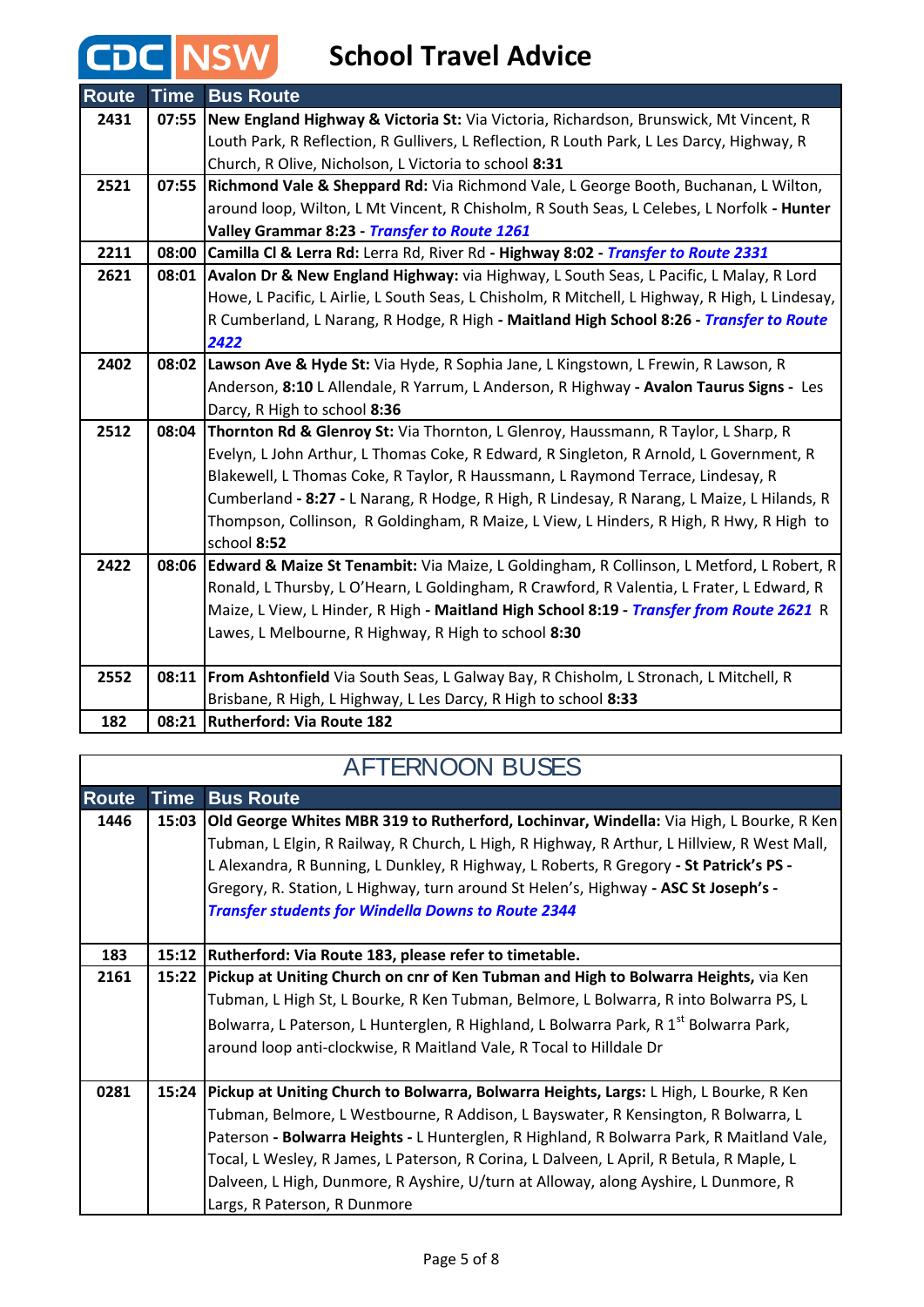#### **School Travel Advice**

**C NSW** 

| <b>Route</b> | <b>Time</b> | <b>Bus Route</b>                                                                                |
|--------------|-------------|-------------------------------------------------------------------------------------------------|
| 2431         | 07:55       | New England Highway & Victoria St: Via Victoria, Richardson, Brunswick, Mt Vincent, R           |
|              |             | Louth Park, R Reflection, R Gullivers, L Reflection, R Louth Park, L Les Darcy, Highway, R      |
|              |             | Church, R Olive, Nicholson, L Victoria to school 8:31                                           |
| 2521         | 07:55       | Richmond Vale & Sheppard Rd: Via Richmond Vale, L George Booth, Buchanan, L Wilton,             |
|              |             | around loop, Wilton, L Mt Vincent, R Chisholm, R South Seas, L Celebes, L Norfolk - Hunter      |
|              |             | Valley Grammar 8:23 - Transfer to Route 1261                                                    |
| 2211         |             | 08:00 Camilla Cl & Lerra Rd: Lerra Rd, River Rd - Highway 8:02 - Transfer to Route 2331         |
| 2621         | 08:01       | Avalon Dr & New England Highway: via Highway, L South Seas, L Pacific, L Malay, R Lord          |
|              |             | Howe, L Pacific, L Airlie, L South Seas, L Chisholm, R Mitchell, L Highway, R High, L Lindesay, |
|              |             | R Cumberland, L Narang, R Hodge, R High - Maitland High School 8:26 - Transfer to Route         |
|              |             | 2422                                                                                            |
| 2402         |             | 08:02 Lawson Ave & Hyde St: Via Hyde, R Sophia Jane, L Kingstown, L Frewin, R Lawson, R         |
|              |             | Anderson, 8:10 L Allendale, R Yarrum, L Anderson, R Highway - Avalon Taurus Signs - Les         |
|              |             | Darcy, R High to school 8:36                                                                    |
| 2512         | 08:04       | Thornton Rd & Glenroy St: Via Thornton, L Glenroy, Haussmann, R Taylor, L Sharp, R              |
|              |             | Evelyn, L John Arthur, L Thomas Coke, R Edward, R Singleton, R Arnold, L Government, R          |
|              |             | Blakewell, L Thomas Coke, R Taylor, R Haussmann, L Raymond Terrace, Lindesay, R                 |
|              |             | Cumberland - 8:27 - L Narang, R Hodge, R High, R Lindesay, R Narang, L Maize, L Hilands, R      |
|              |             | Thompson, Collinson, R Goldingham, R Maize, L View, L Hinders, R High, R Hwy, R High to         |
|              |             | school 8:52                                                                                     |
| 2422         |             | 08:06 Edward & Maize St Tenambit: Via Maize, L Goldingham, R Collinson, L Metford, L Robert, R  |
|              |             | Ronald, L Thursby, L O'Hearn, L Goldingham, R Crawford, R Valentia, L Frater, L Edward, R       |
|              |             | Maize, L View, L Hinder, R High - Maitland High School 8:19 - Transfer from Route 2621 R        |
|              |             | Lawes, L Melbourne, R Highway, R High to school 8:30                                            |
|              |             |                                                                                                 |
| 2552         | 08:11       | From Ashtonfield Via South Seas, L Galway Bay, R Chisholm, L Stronach, L Mitchell, R            |
|              |             | Brisbane, R High, L Highway, L Les Darcy, R High to school 8:33                                 |
| 182          |             | 08:21 Rutherford: Via Route 182                                                                 |

#### **Route Time Bus Route 1446 15:03 Old George Whites MBR 319 to Rutherford, Lochinvar, Windella:** Via High, L Bourke, R Ken Tubman, L Elgin, R Railway, R Church, L High, R Highway, R Arthur, L Hillview, R West Mall, L Alexandra, R Bunning, L Dunkley, R Highway, L Roberts, R Gregory **- St Patrick's PS -**  Gregory, R. Station, L Highway, turn around St Helen's, Highway **- ASC St Joseph's -**  *Transfer students for Windella Downs to Route 2344*  **183 15:12 Rutherford: Via Route 183, please refer to timetable. 2161 15:22 Pickup at Uniting Church on cnr of Ken Tubman and High to Bolwarra Heights,** via Ken Tubman, L High St, L Bourke, R Ken Tubman, Belmore, L Bolwarra, R into Bolwarra PS, L Bolwarra, L Paterson, L Hunterglen, R Highland, L Bolwarra Park, R 1<sup>st</sup> Bolwarra Park, around loop anti-clockwise, R Maitland Vale, R Tocal to Hilldale Dr **0281 15:24 Pickup at Uniting Church to Bolwarra, Bolwarra Heights, Largs:** L High, L Bourke, R Ken Tubman, Belmore, L Westbourne, R Addison, L Bayswater, R Kensington, R Bolwarra, L Paterson **- Bolwarra Heights -** L Hunterglen, R Highland, R Bolwarra Park, R Maitland Vale, Tocal, L Wesley, R James, L Paterson, R Corina, L Dalveen, L April, R Betula, R Maple, L Dalveen, L High, Dunmore, R Ayshire, U/turn at Alloway, along Ayshire, L Dunmore, R Largs, R Paterson, R Dunmore AFTERNOON BUSES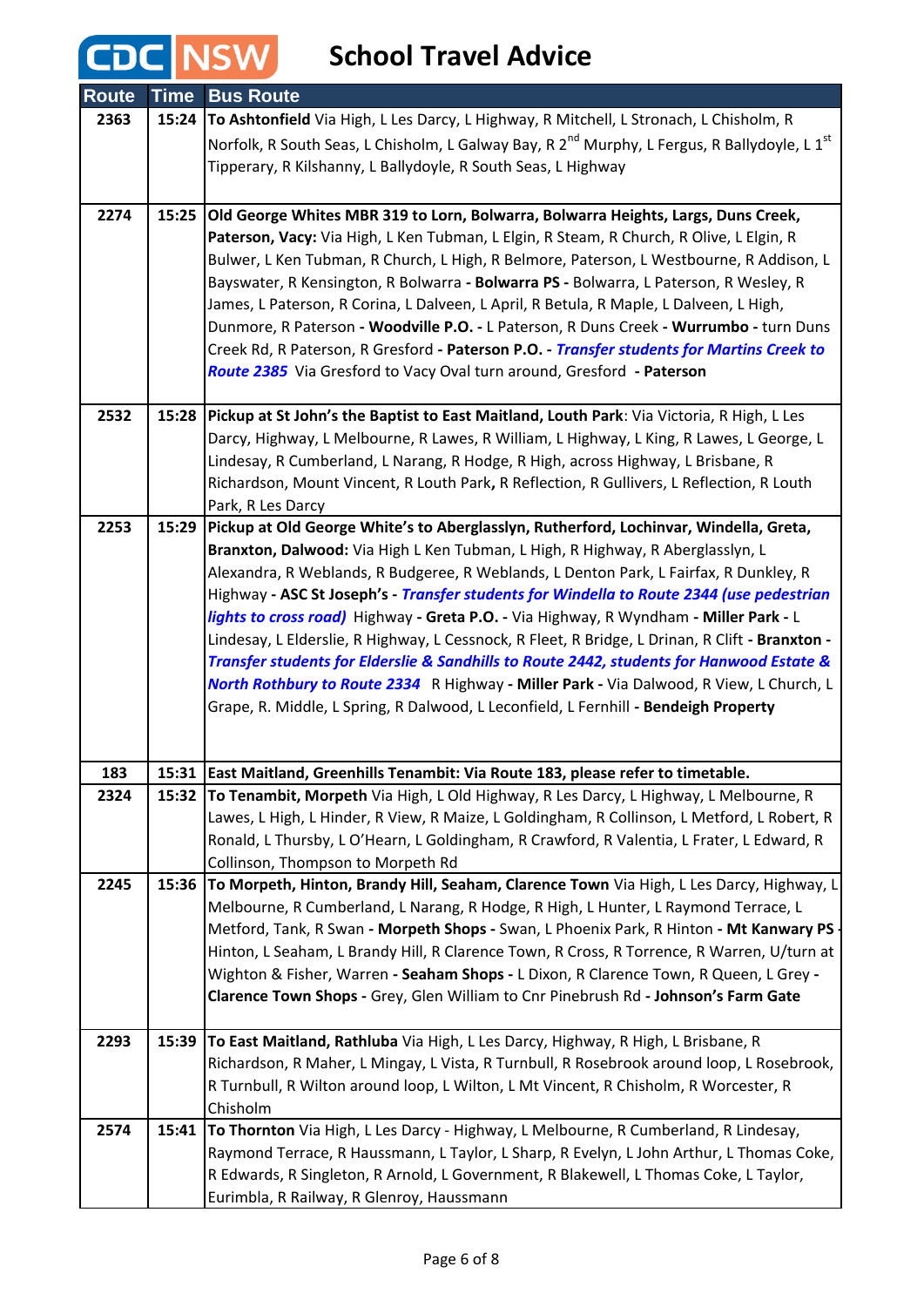| <b>Route</b> | <b>Time</b> | <b>Bus Route</b>                                                                                                                                                               |
|--------------|-------------|--------------------------------------------------------------------------------------------------------------------------------------------------------------------------------|
| 2363         | 15:24       | To Ashtonfield Via High, L Les Darcy, L Highway, R Mitchell, L Stronach, L Chisholm, R                                                                                         |
|              |             | Norfolk, R South Seas, L Chisholm, L Galway Bay, R 2 <sup>nd</sup> Murphy, L Fergus, R Ballydoyle, L 1 <sup>st</sup>                                                           |
|              |             | Tipperary, R Kilshanny, L Ballydoyle, R South Seas, L Highway                                                                                                                  |
|              |             |                                                                                                                                                                                |
| 2274         | 15:25       | Old George Whites MBR 319 to Lorn, Bolwarra, Bolwarra Heights, Largs, Duns Creek,                                                                                              |
|              |             | Paterson, Vacy: Via High, L Ken Tubman, L Elgin, R Steam, R Church, R Olive, L Elgin, R                                                                                        |
|              |             | Bulwer, L Ken Tubman, R Church, L High, R Belmore, Paterson, L Westbourne, R Addison, L                                                                                        |
|              |             | Bayswater, R Kensington, R Bolwarra - Bolwarra PS - Bolwarra, L Paterson, R Wesley, R                                                                                          |
|              |             | James, L Paterson, R Corina, L Dalveen, L April, R Betula, R Maple, L Dalveen, L High,                                                                                         |
|              |             | Dunmore, R Paterson - Woodville P.O. - L Paterson, R Duns Creek - Wurrumbo - turn Duns                                                                                         |
|              |             | Creek Rd, R Paterson, R Gresford - Paterson P.O. - Transfer students for Martins Creek to                                                                                      |
|              |             | Route 2385 Via Gresford to Vacy Oval turn around, Gresford - Paterson                                                                                                          |
| 2532         |             | 15:28 Pickup at St John's the Baptist to East Maitland, Louth Park: Via Victoria, R High, L Les                                                                                |
|              |             | Darcy, Highway, L Melbourne, R Lawes, R William, L Highway, L King, R Lawes, L George, L                                                                                       |
|              |             | Lindesay, R Cumberland, L Narang, R Hodge, R High, across Highway, L Brisbane, R                                                                                               |
|              |             | Richardson, Mount Vincent, R Louth Park, R Reflection, R Gullivers, L Reflection, R Louth                                                                                      |
|              |             | Park, R Les Darcy                                                                                                                                                              |
| 2253         | 15:29       | Pickup at Old George White's to Aberglasslyn, Rutherford, Lochinvar, Windella, Greta,                                                                                          |
|              |             | Branxton, Dalwood: Via High L Ken Tubman, L High, R Highway, R Aberglasslyn, L                                                                                                 |
|              |             | Alexandra, R Weblands, R Budgeree, R Weblands, L Denton Park, L Fairfax, R Dunkley, R                                                                                          |
|              |             | Highway - ASC St Joseph's - Transfer students for Windella to Route 2344 (use pedestrian                                                                                       |
|              |             | <i>lights to cross road</i> ) Highway - Greta P.O. - Via Highway, R Wyndham - Miller Park - L                                                                                  |
|              |             | Lindesay, L Elderslie, R Highway, L Cessnock, R Fleet, R Bridge, L Drinan, R Clift - Branxton -                                                                                |
|              |             | Transfer students for Elderslie & Sandhills to Route 2442, students for Hanwood Estate &                                                                                       |
|              |             | North Rothbury to Route 2334 R Highway - Miller Park - Via Dalwood, R View, L Church, L<br>Grape, R. Middle, L Spring, R Dalwood, L Leconfield, L Fernhill - Bendeigh Property |
|              |             |                                                                                                                                                                                |
|              |             |                                                                                                                                                                                |
| 183          | 15:31       | East Maitland, Greenhills Tenambit: Via Route 183, please refer to timetable.                                                                                                  |
| 2324         |             | 15:32 To Tenambit, Morpeth Via High, L Old Highway, R Les Darcy, L Highway, L Melbourne, R                                                                                     |
|              |             | Lawes, L High, L Hinder, R View, R Maize, L Goldingham, R Collinson, L Metford, L Robert, R                                                                                    |
|              |             | Ronald, L Thursby, L O'Hearn, L Goldingham, R Crawford, R Valentia, L Frater, L Edward, R                                                                                      |
|              |             | Collinson, Thompson to Morpeth Rd                                                                                                                                              |
| 2245         | 15:36       | To Morpeth, Hinton, Brandy Hill, Seaham, Clarence Town Via High, L Les Darcy, Highway, L                                                                                       |
|              |             | Melbourne, R Cumberland, L Narang, R Hodge, R High, L Hunter, L Raymond Terrace, L                                                                                             |
|              |             | Metford, Tank, R Swan - Morpeth Shops - Swan, L Phoenix Park, R Hinton - Mt Kanwary PS                                                                                         |
|              |             | Hinton, L Seaham, L Brandy Hill, R Clarence Town, R Cross, R Torrence, R Warren, U/turn at                                                                                     |
|              |             | Wighton & Fisher, Warren - Seaham Shops - L Dixon, R Clarence Town, R Queen, L Grey -<br>Clarence Town Shops - Grey, Glen William to Cnr Pinebrush Rd - Johnson's Farm Gate    |
|              |             |                                                                                                                                                                                |
| 2293         |             | 15:39 To East Maitland, Rathluba Via High, L Les Darcy, Highway, R High, L Brisbane, R                                                                                         |
|              |             | Richardson, R Maher, L Mingay, L Vista, R Turnbull, R Rosebrook around loop, L Rosebrook,                                                                                      |
|              |             | R Turnbull, R Wilton around loop, L Wilton, L Mt Vincent, R Chisholm, R Worcester, R                                                                                           |
|              |             | Chisholm                                                                                                                                                                       |
| 2574         |             | 15:41 To Thornton Via High, L Les Darcy - Highway, L Melbourne, R Cumberland, R Lindesay,                                                                                      |
|              |             | Raymond Terrace, R Haussmann, L Taylor, L Sharp, R Evelyn, L John Arthur, L Thomas Coke,                                                                                       |
|              |             | R Edwards, R Singleton, R Arnold, L Government, R Blakewell, L Thomas Coke, L Taylor,                                                                                          |
|              |             | Eurimbla, R Railway, R Glenroy, Haussmann                                                                                                                                      |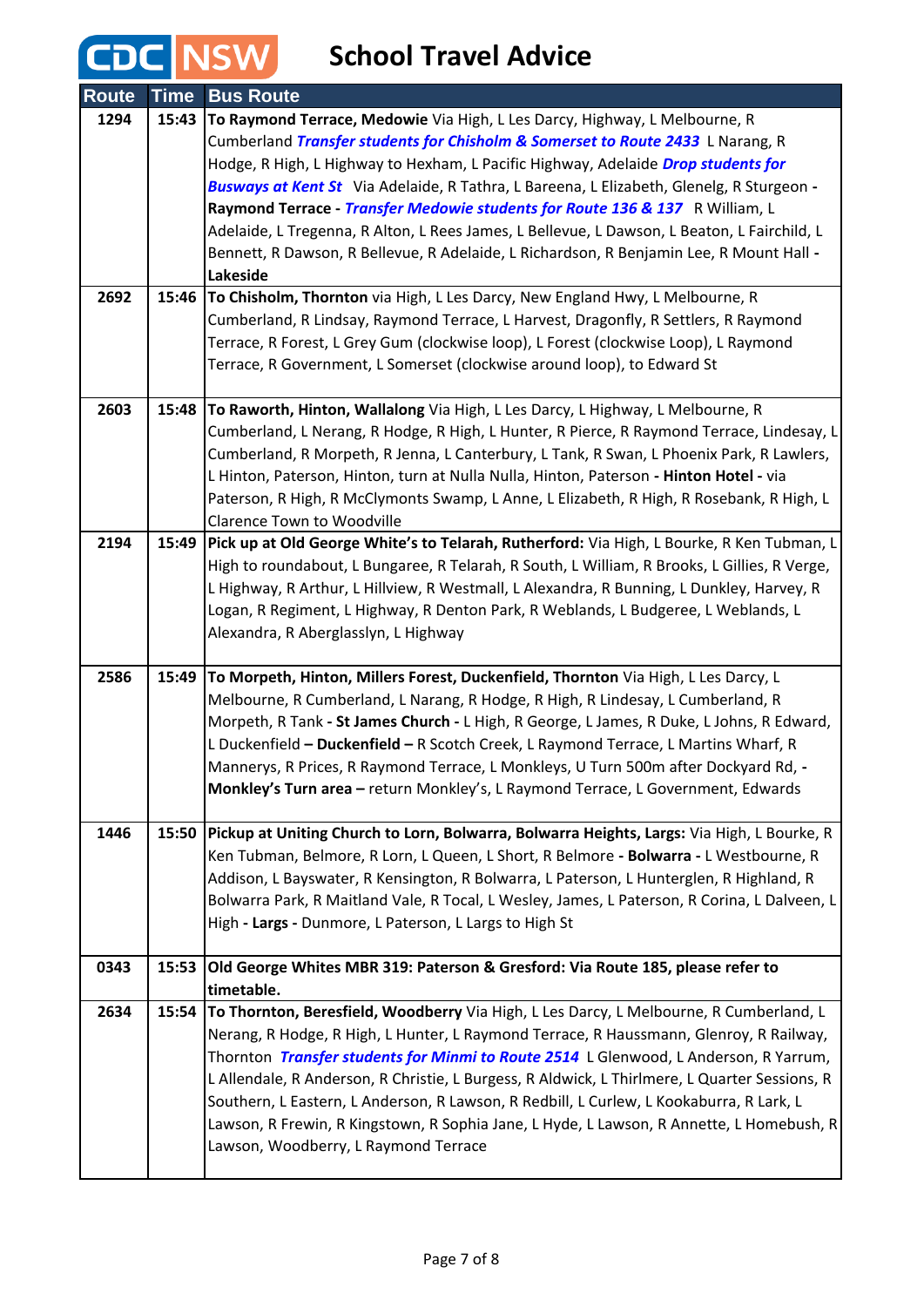### **School Travel Advice**

CDC NSW

| <b>Route</b> | Time  | <b>Bus Route</b>                                                                                                                                                                                                                                                                                                                                                                                                                                                                                                                                                                                                                    |
|--------------|-------|-------------------------------------------------------------------------------------------------------------------------------------------------------------------------------------------------------------------------------------------------------------------------------------------------------------------------------------------------------------------------------------------------------------------------------------------------------------------------------------------------------------------------------------------------------------------------------------------------------------------------------------|
| 1294         | 15:43 | To Raymond Terrace, Medowie Via High, L Les Darcy, Highway, L Melbourne, R<br>Cumberland Transfer students for Chisholm & Somerset to Route 2433 L Narang, R<br>Hodge, R High, L Highway to Hexham, L Pacific Highway, Adelaide Drop students for<br>Busways at Kent St Via Adelaide, R Tathra, L Bareena, L Elizabeth, Glenelg, R Sturgeon -<br>Raymond Terrace - Transfer Medowie students for Route 136 & 137 R William, L<br>Adelaide, L Tregenna, R Alton, L Rees James, L Bellevue, L Dawson, L Beaton, L Fairchild, L<br>Bennett, R Dawson, R Bellevue, R Adelaide, L Richardson, R Benjamin Lee, R Mount Hall -<br>Lakeside |
| 2692         | 15:46 | To Chisholm, Thornton via High, L Les Darcy, New England Hwy, L Melbourne, R<br>Cumberland, R Lindsay, Raymond Terrace, L Harvest, Dragonfly, R Settlers, R Raymond<br>Terrace, R Forest, L Grey Gum (clockwise loop), L Forest (clockwise Loop), L Raymond<br>Terrace, R Government, L Somerset (clockwise around loop), to Edward St                                                                                                                                                                                                                                                                                              |
| 2603         |       | 15:48   To Raworth, Hinton, Wallalong Via High, L Les Darcy, L Highway, L Melbourne, R<br>Cumberland, L Nerang, R Hodge, R High, L Hunter, R Pierce, R Raymond Terrace, Lindesay, L<br>Cumberland, R Morpeth, R Jenna, L Canterbury, L Tank, R Swan, L Phoenix Park, R Lawlers,<br>L Hinton, Paterson, Hinton, turn at Nulla Nulla, Hinton, Paterson - Hinton Hotel - via<br>Paterson, R High, R McClymonts Swamp, L Anne, L Elizabeth, R High, R Rosebank, R High, L<br><b>Clarence Town to Woodville</b>                                                                                                                          |
| 2194         | 15:49 | Pick up at Old George White's to Telarah, Rutherford: Via High, L Bourke, R Ken Tubman, L<br>High to roundabout, L Bungaree, R Telarah, R South, L William, R Brooks, L Gillies, R Verge,<br>L Highway, R Arthur, L Hillview, R Westmall, L Alexandra, R Bunning, L Dunkley, Harvey, R<br>Logan, R Regiment, L Highway, R Denton Park, R Weblands, L Budgeree, L Weblands, L<br>Alexandra, R Aberglasslyn, L Highway                                                                                                                                                                                                                |
| 2586         | 15:49 | To Morpeth, Hinton, Millers Forest, Duckenfield, Thornton Via High, L Les Darcy, L<br>Melbourne, R Cumberland, L Narang, R Hodge, R High, R Lindesay, L Cumberland, R<br>Morpeth, R Tank - St James Church - L High, R George, L James, R Duke, L Johns, R Edward,<br>L Duckenfield - Duckenfield - R Scotch Creek, L Raymond Terrace, L Martins Wharf, R<br>Mannerys, R Prices, R Raymond Terrace, L Monkleys, U Turn 500m after Dockyard Rd, -<br>Monkley's Turn area - return Monkley's, L Raymond Terrace, L Government, Edwards                                                                                                |
| 1446         | 15:50 | Pickup at Uniting Church to Lorn, Bolwarra, Bolwarra Heights, Largs: Via High, L Bourke, R<br>Ken Tubman, Belmore, R Lorn, L Queen, L Short, R Belmore - Bolwarra - L Westbourne, R<br>Addison, L Bayswater, R Kensington, R Bolwarra, L Paterson, L Hunterglen, R Highland, R<br>Bolwarra Park, R Maitland Vale, R Tocal, L Wesley, James, L Paterson, R Corina, L Dalveen, L<br>High - Largs - Dunmore, L Paterson, L Largs to High St                                                                                                                                                                                            |
| 0343         | 15:53 | Old George Whites MBR 319: Paterson & Gresford: Via Route 185, please refer to<br>timetable.                                                                                                                                                                                                                                                                                                                                                                                                                                                                                                                                        |
| 2634         |       | 15:54 To Thornton, Beresfield, Woodberry Via High, L Les Darcy, L Melbourne, R Cumberland, L<br>Nerang, R Hodge, R High, L Hunter, L Raymond Terrace, R Haussmann, Glenroy, R Railway,<br>Thornton Transfer students for Minmi to Route 2514 L Glenwood, L Anderson, R Yarrum,<br>L Allendale, R Anderson, R Christie, L Burgess, R Aldwick, L Thirlmere, L Quarter Sessions, R<br>Southern, L Eastern, L Anderson, R Lawson, R Redbill, L Curlew, L Kookaburra, R Lark, L<br>Lawson, R Frewin, R Kingstown, R Sophia Jane, L Hyde, L Lawson, R Annette, L Homebush, R<br>Lawson, Woodberry, L Raymond Terrace                      |